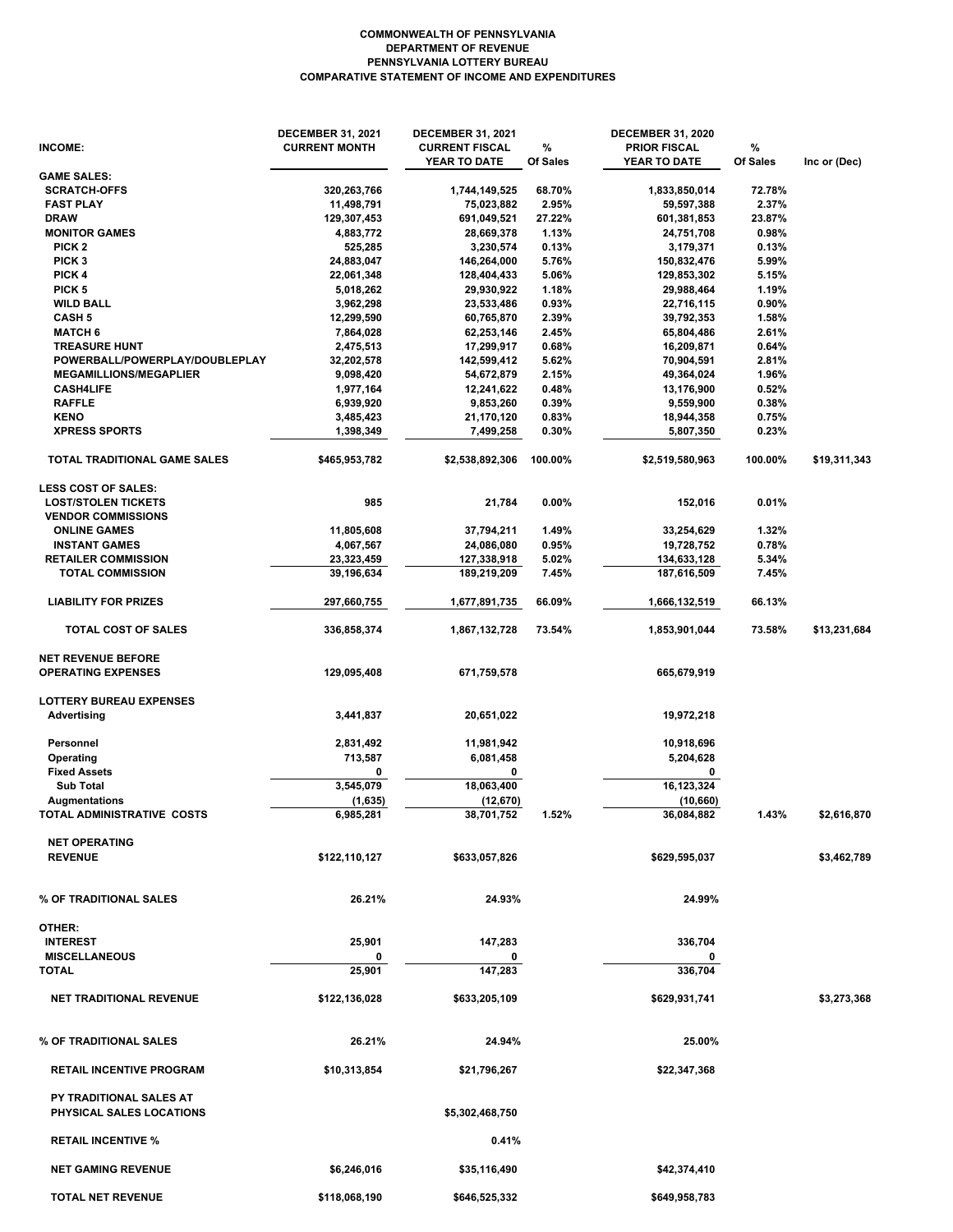## **COMPARATIVE STATEMENT OF INCOME AND EXPENDITURES PENNSYLVANIA LOTTERY BUREAU DEPARTMENT OF REVENUE COMMONWEALTH OF PENNSYLVANIA**

| <b>INCOME:</b>                      | <b>DECEMBER 31, 2021</b><br><b>CURRENT MONTH</b> | <b>DECEMBER 31, 2021</b><br><b>CURRENT FISCAL</b><br>YEAR TO DATE | %<br>Of Sales | <b>DECEMBER 31, 2020</b><br><b>PRIOR FISCAL</b><br>YEAR TO DATE | %<br>Of Sales | Inc or (Dec) |
|-------------------------------------|--------------------------------------------------|-------------------------------------------------------------------|---------------|-----------------------------------------------------------------|---------------|--------------|
| <b>GAME SALES:</b>                  |                                                  |                                                                   |               |                                                                 |               |              |
| <b>SCRATCH-OFFS</b>                 | 320,263,766                                      | 1,744,149,525                                                     | 68.70%        | 1,833,850,014                                                   | 72.78%        |              |
| <b>FAST PLAY</b>                    | 11,498,791                                       | 75,023,882                                                        | 2.95%         | 59,597,388                                                      | 2.37%         |              |
| <b>DRAW</b>                         | 129,307,453                                      | 691,049,521                                                       | 27.22%        | 601,381,853                                                     | 23.87%        |              |
| <b>MONITOR GAMES</b>                | 4,883,772                                        | 28,669,378                                                        | 1.13%         | 24,751,708                                                      | 0.98%         |              |
| PICK <sub>2</sub>                   | 525,285                                          | 3,230,574                                                         | 0.13%         | 3,179,371                                                       | 0.13%         |              |
| PICK <sub>3</sub>                   | 24,883,047                                       | 146,264,000                                                       | 5.76%         | 150,832,476                                                     | 5.99%         |              |
| PICK 4                              | 22,061,348                                       | 128,404,433                                                       | 5.06%         | 129,853,302                                                     | 5.15%         |              |
| PICK <sub>5</sub>                   | 5,018,262                                        | 29,930,922                                                        | 1.18%         | 29,988,464                                                      | 1.19%         |              |
| <b>WILD BALL</b>                    | 3,962,298                                        | 23,533,486                                                        | 0.93%         | 22,716,115                                                      | 0.90%         |              |
| CASH <sub>5</sub>                   | 12,299,590                                       | 60,765,870                                                        | 2.39%         | 39,792,353                                                      | 1.58%         |              |
| <b>MATCH 6</b>                      | 7,864,028                                        | 62,253,146                                                        | 2.45%         | 65,804,486                                                      | 2.61%         |              |
| <b>TREASURE HUNT</b>                | 2,475,513                                        | 17,299,917                                                        | 0.68%         | 16,209,871                                                      | 0.64%         |              |
| POWERBALL/POWERPLAY/DOUBLEPLAY      | 32,202,578                                       | 142,599,412                                                       | 5.62%         | 70,904,591                                                      | 2.81%         |              |
| <b>MEGAMILLIONS/MEGAPLIER</b>       | 9,098,420                                        | 54,672,879                                                        | 2.15%         | 49,364,024                                                      | 1.96%         |              |
| <b>CASH4LIFE</b>                    | 1,977,164                                        | 12,241,622                                                        | 0.48%         | 13,176,900                                                      | 0.52%         |              |
| <b>RAFFLE</b>                       | 6,939,920                                        | 9,853,260                                                         | 0.39%         | 9,559,900                                                       | 0.38%         |              |
| <b>KENO</b>                         | 3,485,423                                        | 21,170,120                                                        | 0.83%         | 18,944,358                                                      | 0.75%         |              |
| <b>XPRESS SPORTS</b>                | 1,398,349                                        | 7,499,258                                                         | 0.30%         | 5,807,350                                                       | 0.23%         |              |
| <b>TOTAL TRADITIONAL GAME SALES</b> | \$465,953,782                                    | \$2,538,892,306                                                   | 100.00%       | \$2,519,580,963                                                 | 100.00%       | \$19,311,343 |
| <b>LESS COST OF SALES:</b>          |                                                  |                                                                   |               |                                                                 |               |              |
| <b>LOST/STOLEN TICKETS</b>          | 985                                              | 21,784                                                            | 0.00%         | 152,016                                                         | 0.01%         |              |
| <b>VENDOR COMMISSIONS</b>           |                                                  |                                                                   |               |                                                                 |               |              |
| <b>ONLINE GAMES</b>                 | 11,805,608                                       | 37,794,211                                                        | 1.49%         | 33,254,629                                                      | 1.32%         |              |
| <b>INSTANT GAMES</b>                | 4,067,567                                        | 24,086,080                                                        | 0.95%         | 19,728,752                                                      | 0.78%         |              |
| <b>RETAILER COMMISSION</b>          | 23,323,459                                       | 127,338,918                                                       | 5.02%         | 134,633,128                                                     | 5.34%         |              |
| <b>TOTAL COMMISSION</b>             | 39,196,634                                       | 189,219,209                                                       | 7.45%         | 187,616,509                                                     | 7.45%         |              |
| <b>LIABILITY FOR PRIZES</b>         | 297,660,755                                      | 1,677,891,735                                                     | 66.09%        | 1,666,132,519                                                   | 66.13%        |              |
| <b>TOTAL COST OF SALES</b>          | 336,858,374                                      | 1,867,132,728                                                     | 73.54%        | 1,853,901,044                                                   | 73.58%        | \$13,231,684 |
| <b>NET REVENUE BEFORE</b>           |                                                  |                                                                   |               |                                                                 |               |              |
| <b>OPERATING EXPENSES</b>           | 129,095,408                                      | 671,759,578                                                       |               | 665,679,919                                                     |               |              |
| <b>LOTTERY BUREAU EXPENSES</b>      |                                                  |                                                                   |               |                                                                 |               |              |
| <b>Advertising</b>                  | 3,441,837                                        | 20,651,022                                                        |               | 19,972,218                                                      |               |              |
| Personnel                           | 2,831,492                                        | 11,981,942                                                        |               | 10,918,696                                                      |               |              |
| Operating                           | 713,587                                          | 6,081,458                                                         |               | 5,204,628                                                       |               |              |
| <b>Fixed Assets</b>                 | 0                                                | 0                                                                 |               | 0                                                               |               |              |
| <b>Sub Total</b>                    | 3,545,079                                        | 18,063,400                                                        |               | 16,123,324                                                      |               |              |
| <b>Augmentations</b>                | (1,635)                                          | (12, 670)                                                         |               | (10,660)                                                        |               |              |
| TOTAL ADMINISTRATIVE COSTS          | 6,985,281                                        | 38,701,752                                                        | 1.52%         | 36,084,882                                                      | 1.43%         | \$2,616,870  |
| <b>NET OPERATING</b>                |                                                  |                                                                   |               |                                                                 |               |              |
| <b>REVENUE</b>                      | \$122,110,127                                    | \$633,057,826                                                     |               | \$629,595,037                                                   |               | \$3,462,789  |
| % OF TRADITIONAL SALES              | 26.21%                                           | 24.93%                                                            |               | 24.99%                                                          |               |              |
|                                     |                                                  |                                                                   |               |                                                                 |               |              |
| OTHER:                              |                                                  |                                                                   |               |                                                                 |               |              |
| <b>INTEREST</b>                     | 25,901                                           | 147,283                                                           |               | 336,704                                                         |               |              |
| <b>MISCELLANEOUS</b>                |                                                  |                                                                   |               |                                                                 |               |              |
| <b>TOTAL</b>                        | 25,901                                           | 147,283                                                           |               | 336,704                                                         |               |              |
| <b>NET TRADITIONAL REVENUE</b>      | \$122,136,028                                    | \$633,205,109                                                     |               | \$629,931,741                                                   |               | \$3,273,368  |
| % OF TRADITIONAL SALES              | 26.21%                                           | 24.94%                                                            |               | 25.00%                                                          |               |              |
| <b>RETAIL INCENTIVE PROGRAM</b>     | \$10,313,854                                     | \$21,796,267                                                      |               | \$22,347,368                                                    |               |              |
| <b>PY TRADITIONAL SALES AT</b>      |                                                  |                                                                   |               |                                                                 |               |              |
| PHYSICAL SALES LOCATIONS            |                                                  | \$5,302,468,750                                                   |               |                                                                 |               |              |
| <b>RETAIL INCENTIVE %</b>           |                                                  | 0.41%                                                             |               |                                                                 |               |              |
| <b>NET GAMING REVENUE</b>           | \$6,246,016                                      | \$35,116,490                                                      |               | \$42,374,410                                                    |               |              |
| <b>TOTAL NET REVENUE</b>            | \$118,068,190                                    | \$646,525,332                                                     |               | \$649,958,783                                                   |               |              |